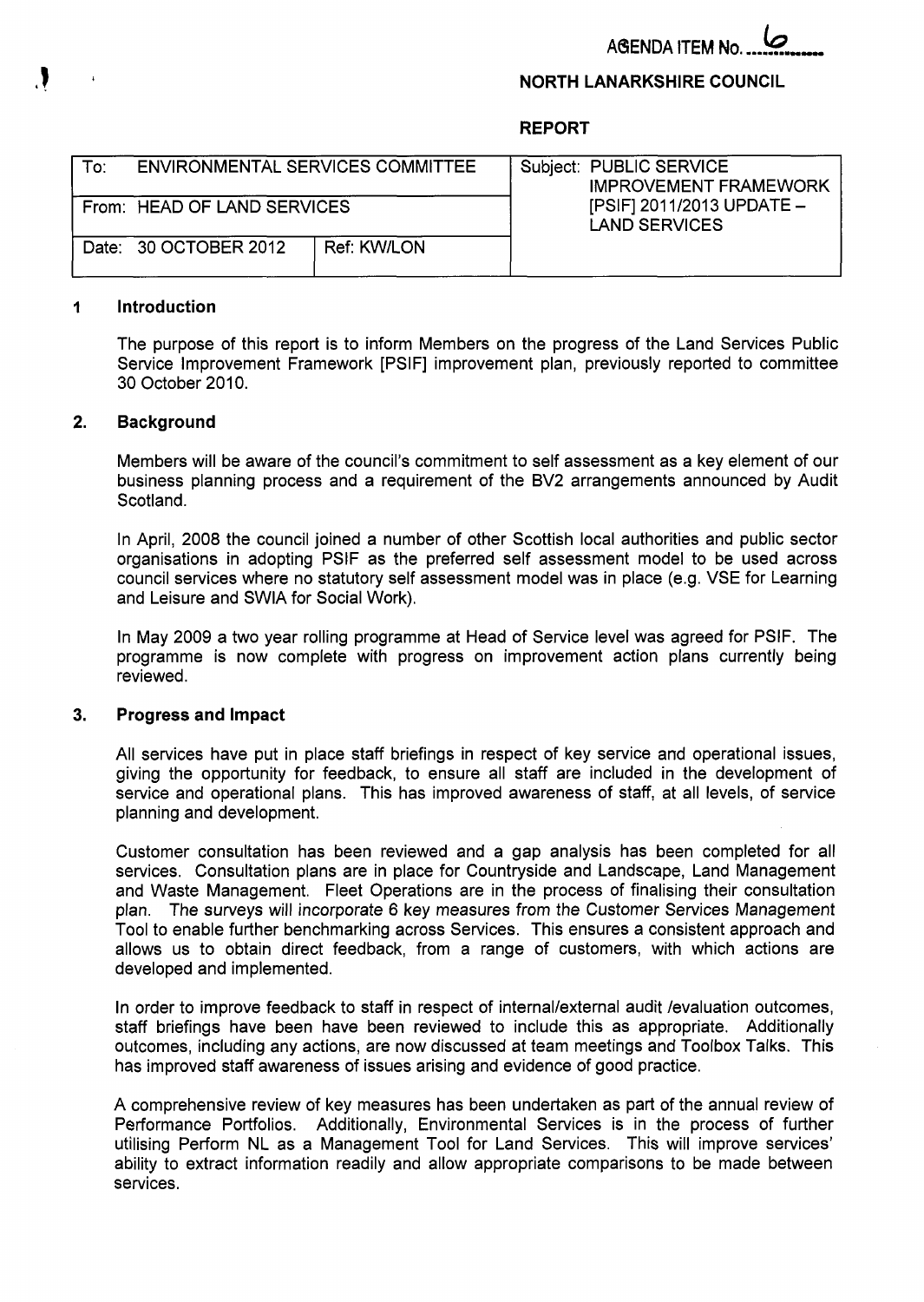**ABENDA ITEM No** 

## **NORTH LANARKSHIRE COUNCIL**

**REPORT** 

| To: | ENVIRONMENTAL SERVICES COMMITTEE |             | Subject: PUBLIC SERVICE<br><b>IMPROVEMENT FRAMEWORK</b> |
|-----|----------------------------------|-------------|---------------------------------------------------------|
|     | From: HEAD OF LAND SERVICES      |             | [PSIF] 2011/2013 UPDATE -<br><b>LAND SERVICES</b>       |
|     | Date: 30 OCTOBER 2012            | Ref: KW/LON |                                                         |

### **1 Introduction**

The purpose of this report is to inform Members on the progress of the Land Services Public Service Improvement Framework [PSIF] improvement plan, previously reported to committee 30 October 2010.

#### **2. Background**

Members will be aware of the council's commitment to self assessment as a key element of our business planning process and a requirement of the BV2 arrangements announced by Audit Scotland.

In April, 2008 the council joined a number of other Scottish local authorities and public sector organisations in adopting PSIF as the preferred self assessment model to be used across council services where no statutory self assessment model was in place (e.g. VSE for Learning and Leisure and SWlA for Social Work).

In May 2009 a two year rolling programme at Head of Service level was agreed for PSIF. The programme is now complete with progress on improvement action plans currently being reviewed.

#### **3. Progress and Impact**

All services have put in place staff briefings in respect of key service and operational issues, giving the opportunity for feedback, to ensure all staff are included in the development of service and operational plans. This has improved awareness of staff, at all levels, of service planning and development.

Customer consultation has been reviewed and a gap analysis has been completed for all services. Consultation plans are in place for Countryside and Landscape, Land Management and Waste Management. Fleet Operations are in the process of finalising their consultation plan. The surveys will incorporate 6 key measures from the Customer Services Management Tool to enable further benchmarking across Services. This ensures a consistent approach and allows us to obtain direct feedback, from a range of customers, with which actions are developed and implemented.

In order to improve feedback to staff in respect of internal/external audit /evaluation outcomes, staff briefings have been have been reviewed to include this as appropriate. Additionally outcomes, including any actions, are now discussed at team meetings and Toolbox Talks. This has improved staff awareness of issues arising and evidence of good practice.

A comprehensive review of key measures has been undertaken as part of the annual review of Performance Portfolios. Additionally, Environmental Services is in the process of further utilising Perform NL as a Management Tool for Land Services. This will improve services' ability to extract information readily and allow appropriate comparisons to be made between services.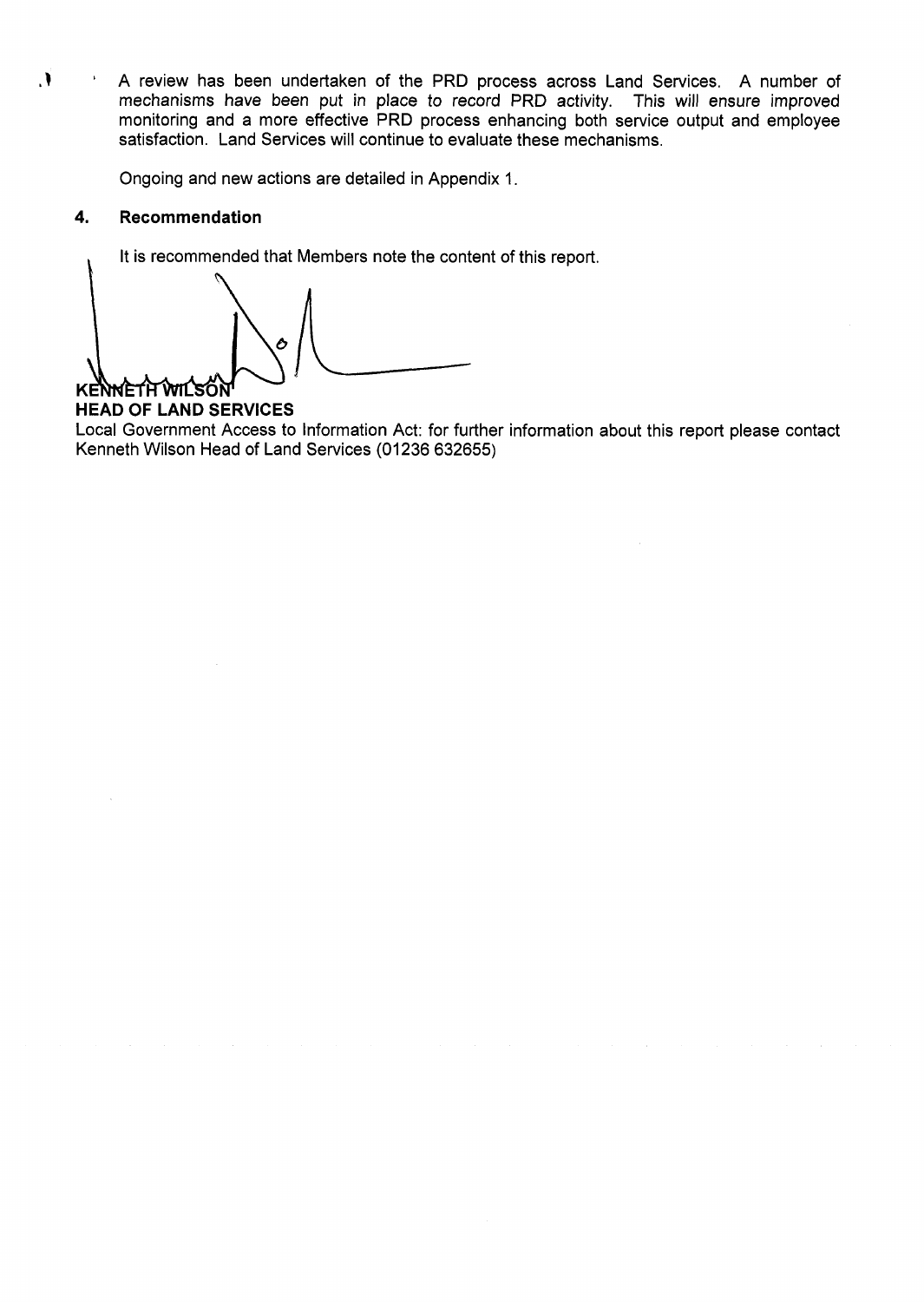A review has been undertaken of the PRD process across Land Services. A number of  $\mathbf{V}$ mechanisms have been put in place to record PRD activity. This will ensure improved monitoring and a more effective PRD process enhancing both service output and employee satisfaction. Land Services will continue to evaluate these mechanisms.

Ongoing and new actions are detailed in Appendix 1.

#### 4. **Recommendation**

It is recommended that Members note the content of this report.

 $\mathcal{L}$ a Ô KENNETH WILSON

## **HEAD OF LAND SERVICES**

Local Government Access to Information Act: for further information about this report please contact Kenneth Wilson Head of Land Services (01236 632655)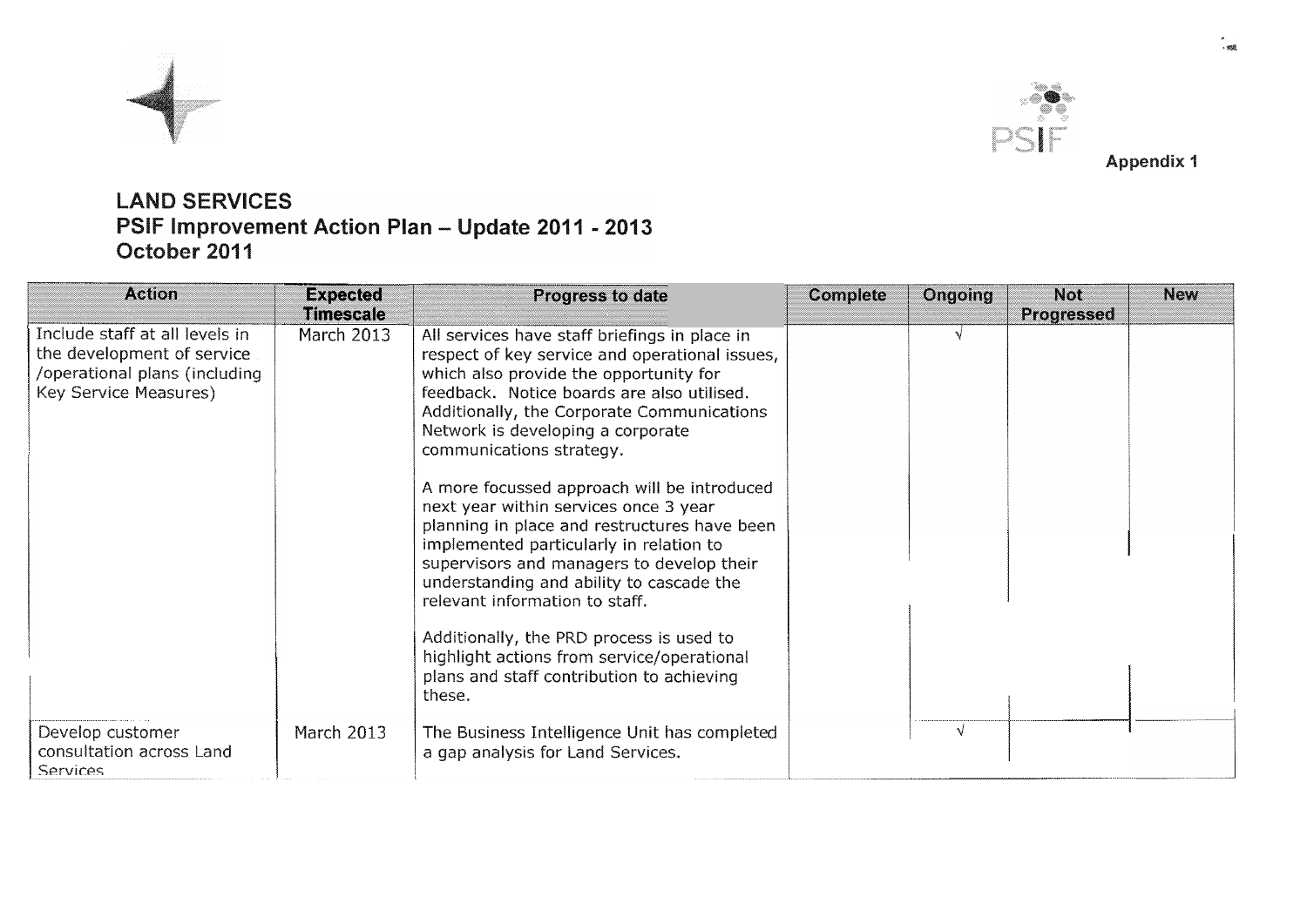



# **LAND SERVICES** PSIF Improvement Action Plan - Update 2011 - 2013<br>October 2011

| <b>Action</b>                                                                                                          | <b>Expected</b><br><b>Timescale</b> | Progress to date                                                                                                                                                                                                                                                                                                                                                                                                                                                                                                                                                                                                                                                                                                                                                      | <b>Complete</b> | Ongoing | <b>Not</b><br>Progressed | <b>New</b> |
|------------------------------------------------------------------------------------------------------------------------|-------------------------------------|-----------------------------------------------------------------------------------------------------------------------------------------------------------------------------------------------------------------------------------------------------------------------------------------------------------------------------------------------------------------------------------------------------------------------------------------------------------------------------------------------------------------------------------------------------------------------------------------------------------------------------------------------------------------------------------------------------------------------------------------------------------------------|-----------------|---------|--------------------------|------------|
| Include staff at all levels in<br>the development of service<br>/operational plans (including<br>Key Service Measures) | <b>March 2013</b>                   | All services have staff briefings in place in<br>respect of key service and operational issues,<br>which also provide the opportunity for<br>feedback. Notice boards are also utilised.<br>Additionally, the Corporate Communications<br>Network is developing a corporate<br>communications strategy.<br>A more focussed approach will be introduced<br>next year within services once 3 year<br>planning in place and restructures have been<br>implemented particularly in relation to<br>supervisors and managers to develop their<br>understanding and ability to cascade the<br>relevant information to staff.<br>Additionally, the PRD process is used to<br>highlight actions from service/operational<br>plans and staff contribution to achieving<br>these. |                 |         |                          |            |
| Develop customer<br>consultation across Land<br><b>Services</b>                                                        | March 2013                          | The Business Intelligence Unit has completed<br>a gap analysis for Land Services.                                                                                                                                                                                                                                                                                                                                                                                                                                                                                                                                                                                                                                                                                     |                 | V       |                          |            |

**Appendix 1**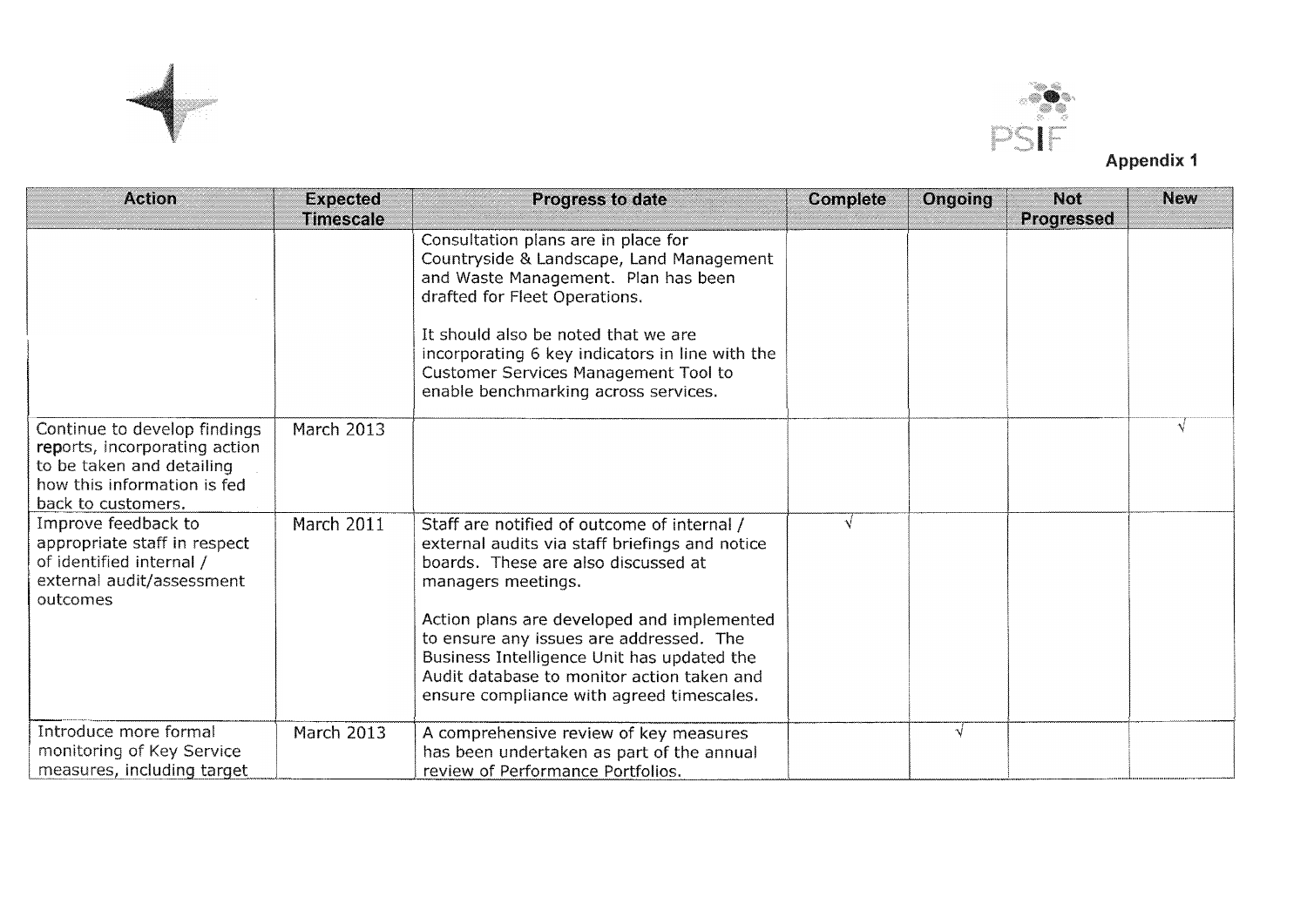

I



| <b>Action</b>                                                                                                                                   | <b>Expected</b><br><b>Timescale</b> | <b>Progress to date</b>                                                                                                                                                                                                                                                                                                                  | <b>Complete</b> | Ongoing    | <b>Not</b><br>Progressed | <b>New</b> |
|-------------------------------------------------------------------------------------------------------------------------------------------------|-------------------------------------|------------------------------------------------------------------------------------------------------------------------------------------------------------------------------------------------------------------------------------------------------------------------------------------------------------------------------------------|-----------------|------------|--------------------------|------------|
|                                                                                                                                                 |                                     | Consultation plans are in place for<br>Countryside & Landscape, Land Management<br>and Waste Management. Plan has been<br>drafted for Fleet Operations.<br>It should also be noted that we are<br>incorporating 6 key indicators in line with the<br><b>Customer Services Management Tool to</b><br>enable benchmarking across services. |                 |            |                          |            |
| Continue to develop findings<br>reports, incorporating action<br>to be taken and detailing<br>how this information is fed<br>back to customers. | <b>March 2013</b>                   |                                                                                                                                                                                                                                                                                                                                          |                 |            |                          |            |
| Improve feedback to<br>appropriate staff in respect<br>of identified internal /<br>external audit/assessment<br>outcomes                        | March 2011                          | Staff are notified of outcome of internal /<br>external audits via staff briefings and notice<br>boards. These are also discussed at<br>managers meetings.                                                                                                                                                                               | v               |            |                          |            |
|                                                                                                                                                 |                                     | Action plans are developed and implemented<br>to ensure any issues are addressed. The<br>Business Intelligence Unit has updated the<br>Audit database to monitor action taken and<br>ensure compliance with agreed timescales.                                                                                                           |                 |            |                          |            |
| Introduce more formal<br>monitoring of Key Service<br>measures, including target                                                                | March 2013                          | A comprehensive review of key measures<br>has been undertaken as part of the annual<br>review of Performance Portfolios.                                                                                                                                                                                                                 |                 | $\sqrt{ }$ |                          |            |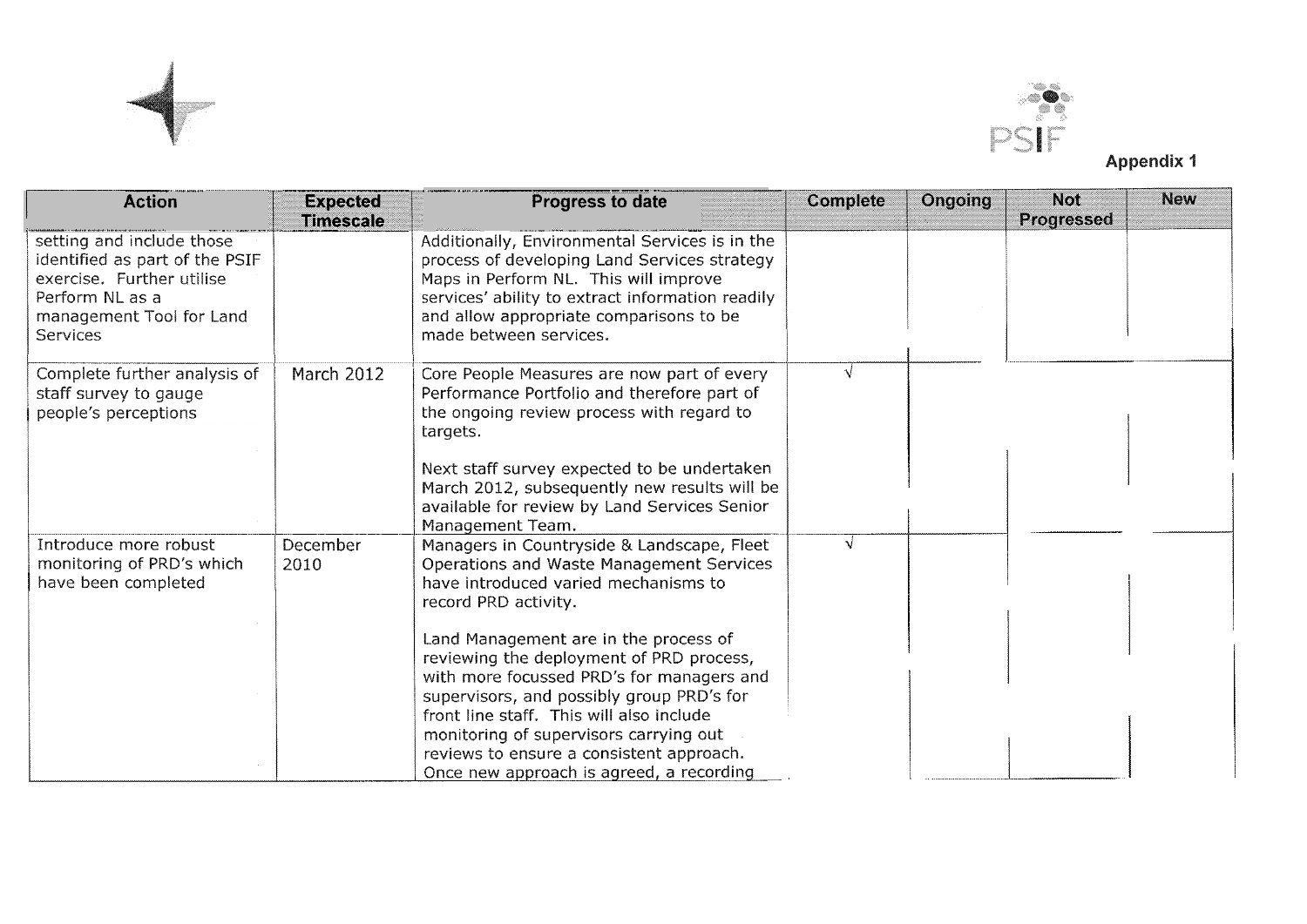



**Appendix 1** 

| <b>Action</b>                                                                                                                                              | <b>Expected</b><br><b>Timescale</b> | <b>Progress to date</b>                                                                                                                                                                                                                                                                                                                                   | <b>Complete</b> | Ongoing | <b>Not</b><br>Progressed | <b>New</b> |
|------------------------------------------------------------------------------------------------------------------------------------------------------------|-------------------------------------|-----------------------------------------------------------------------------------------------------------------------------------------------------------------------------------------------------------------------------------------------------------------------------------------------------------------------------------------------------------|-----------------|---------|--------------------------|------------|
| setting and include those<br>identified as part of the PSIF<br>exercise. Further utilise<br>Perform NL as a<br>management Tool for Land<br><b>Services</b> |                                     | Additionally, Environmental Services is in the<br>process of developing Land Services strategy<br>Maps in Perform NL. This will improve<br>services' ability to extract information readily<br>and allow appropriate comparisons to be<br>made between services.                                                                                          |                 |         |                          |            |
| Complete further analysis of<br>staff survey to gauge<br>people's perceptions                                                                              | March 2012                          | Core People Measures are now part of every<br>Performance Portfolio and therefore part of<br>the ongoing review process with regard to<br>targets.                                                                                                                                                                                                        |                 |         |                          |            |
|                                                                                                                                                            |                                     | Next staff survey expected to be undertaken<br>March 2012, subsequently new results will be<br>available for review by Land Services Senior<br>Management Team.                                                                                                                                                                                           |                 |         |                          |            |
| Introduce more robust<br>monitoring of PRD's which<br>have been completed                                                                                  | December<br>2010                    | Managers in Countryside & Landscape, Fleet<br>Operations and Waste Management Services<br>have introduced varied mechanisms to<br>record PRD activity.                                                                                                                                                                                                    |                 |         |                          |            |
|                                                                                                                                                            |                                     | Land Management are in the process of<br>reviewing the deployment of PRD process,<br>with more focussed PRD's for managers and<br>supervisors, and possibly group PRD's for<br>front line staff. This will also include<br>monitoring of supervisors carrying out<br>reviews to ensure a consistent approach.<br>Once new approach is agreed, a recording |                 |         |                          |            |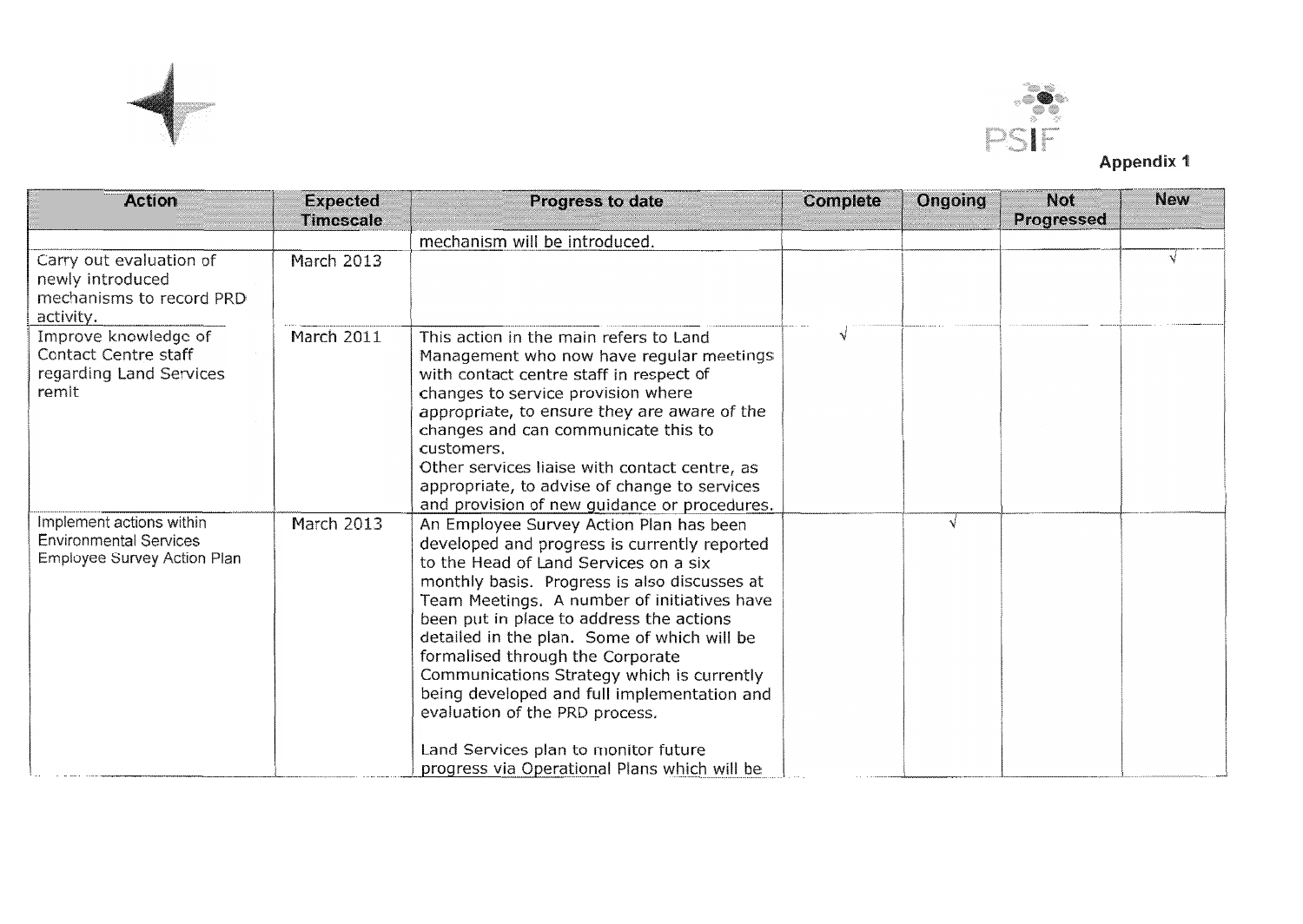



|                                                                                                 |                                     |                                                                                                                                                                                                                                                                                                                                                                                                                                                                                                                                                                                       |          |         | PSIF<br><b>Appendix 1</b> |            |  |  |
|-------------------------------------------------------------------------------------------------|-------------------------------------|---------------------------------------------------------------------------------------------------------------------------------------------------------------------------------------------------------------------------------------------------------------------------------------------------------------------------------------------------------------------------------------------------------------------------------------------------------------------------------------------------------------------------------------------------------------------------------------|----------|---------|---------------------------|------------|--|--|
| <b>Action</b>                                                                                   | <b>Expected</b><br><b>Timescale</b> | <b>Progress to date</b>                                                                                                                                                                                                                                                                                                                                                                                                                                                                                                                                                               | Complete | Ongoing | <b>Not</b><br>Progressed  | <b>New</b> |  |  |
|                                                                                                 |                                     | mechanism will be introduced.                                                                                                                                                                                                                                                                                                                                                                                                                                                                                                                                                         |          |         |                           |            |  |  |
| Carry out evaluation of<br>newly introduced<br>mechanisms to record PRD<br>activity.            | <b>March 2013</b>                   |                                                                                                                                                                                                                                                                                                                                                                                                                                                                                                                                                                                       |          |         |                           | v.         |  |  |
| Improve knowledge of<br>Contact Centre staff<br>regarding Land Services<br>remit                | March 2011                          | This action in the main refers to Land<br>Management who now have regular meetings<br>with contact centre staff in respect of<br>changes to service provision where<br>appropriate, to ensure they are aware of the<br>changes and can communicate this to<br>customers.<br>Other services liaise with contact centre, as<br>appropriate, to advise of change to services<br>and provision of new guidance or procedures.                                                                                                                                                             | N        |         |                           |            |  |  |
| Implement actions within<br><b>Environmental Services</b><br><b>Employee Survey Action Plan</b> | March 2013                          | An Employee Survey Action Plan has been<br>developed and progress is currently reported<br>to the Head of Land Services on a six<br>monthly basis. Progress is also discusses at<br>Team Meetings. A number of initiatives have<br>been put in place to address the actions<br>detailed in the plan. Some of which will be<br>formalised through the Corporate<br>Communications Strategy which is currently<br>being developed and full implementation and<br>evaluation of the PRD process.<br>Land Services plan to monitor future<br>progress via Operational Plans which will be |          | √       |                           |            |  |  |